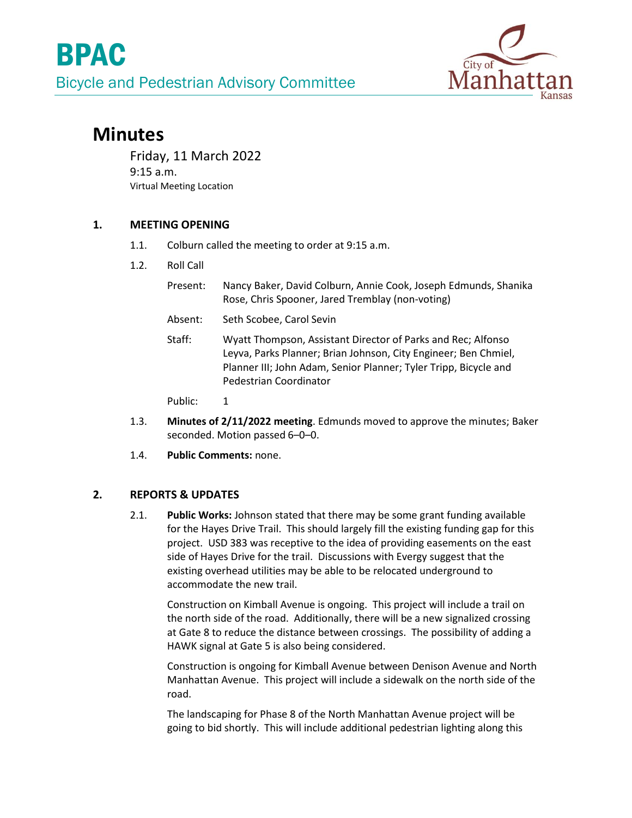

# **Minutes**

Friday, 11 March 2022 9:15 a.m. Virtual Meeting Location

## **1. MEETING OPENING**

- 1.1. Colburn called the meeting to order at 9:15 a.m.
- 1.2. Roll Call
	- Present: Nancy Baker, David Colburn, Annie Cook, Joseph Edmunds, Shanika Rose, Chris Spooner, Jared Tremblay (non-voting)
	- Absent: Seth Scobee, Carol Sevin
	- Staff: Wyatt Thompson, Assistant Director of Parks and Rec; Alfonso Leyva, Parks Planner; Brian Johnson, City Engineer; Ben Chmiel, Planner III; John Adam, Senior Planner; Tyler Tripp, Bicycle and Pedestrian Coordinator

Public: 1

- 1.3. **Minutes of 2/11/2022 meeting**. Edmunds moved to approve the minutes; Baker seconded. Motion passed 6–0–0.
- 1.4. **Public Comments:** none.

### **2. REPORTS & UPDATES**

2.1. **Public Works:** Johnson stated that there may be some grant funding available for the Hayes Drive Trail. This should largely fill the existing funding gap for this project. USD 383 was receptive to the idea of providing easements on the east side of Hayes Drive for the trail. Discussions with Evergy suggest that the existing overhead utilities may be able to be relocated underground to accommodate the new trail.

Construction on Kimball Avenue is ongoing. This project will include a trail on the north side of the road. Additionally, there will be a new signalized crossing at Gate 8 to reduce the distance between crossings. The possibility of adding a HAWK signal at Gate 5 is also being considered.

Construction is ongoing for Kimball Avenue between Denison Avenue and North Manhattan Avenue. This project will include a sidewalk on the north side of the road.

The landscaping for Phase 8 of the North Manhattan Avenue project will be going to bid shortly. This will include additional pedestrian lighting along this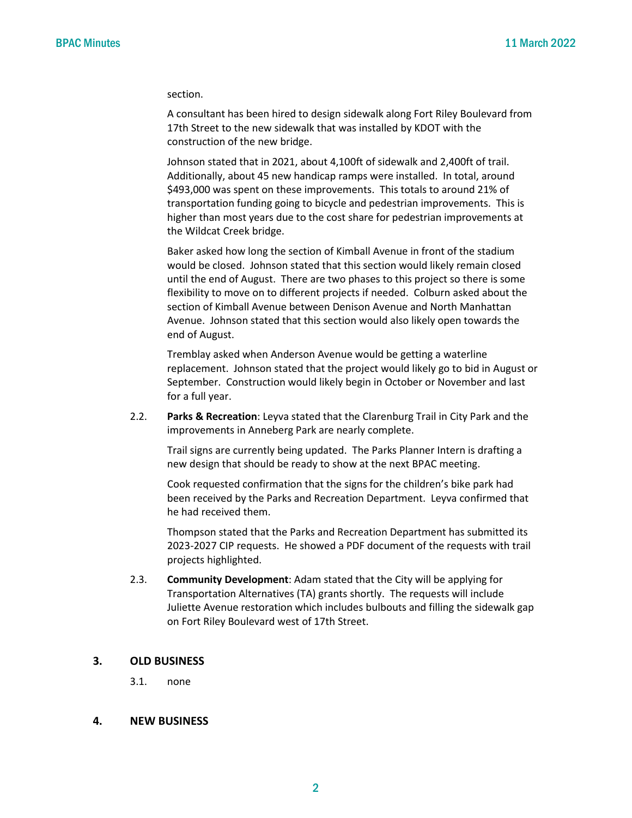section.

A consultant has been hired to design sidewalk along Fort Riley Boulevard from 17th Street to the new sidewalk that was installed by KDOT with the construction of the new bridge.

Johnson stated that in 2021, about 4,100ft of sidewalk and 2,400ft of trail. Additionally, about 45 new handicap ramps were installed. In total, around \$493,000 was spent on these improvements. This totals to around 21% of transportation funding going to bicycle and pedestrian improvements. This is higher than most years due to the cost share for pedestrian improvements at the Wildcat Creek bridge.

Baker asked how long the section of Kimball Avenue in front of the stadium would be closed. Johnson stated that this section would likely remain closed until the end of August. There are two phases to this project so there is some flexibility to move on to different projects if needed. Colburn asked about the section of Kimball Avenue between Denison Avenue and North Manhattan Avenue. Johnson stated that this section would also likely open towards the end of August.

Tremblay asked when Anderson Avenue would be getting a waterline replacement. Johnson stated that the project would likely go to bid in August or September. Construction would likely begin in October or November and last for a full year.

2.2. **Parks & Recreation**: Leyva stated that the Clarenburg Trail in City Park and the improvements in Anneberg Park are nearly complete.

Trail signs are currently being updated. The Parks Planner Intern is drafting a new design that should be ready to show at the next BPAC meeting.

Cook requested confirmation that the signs for the children's bike park had been received by the Parks and Recreation Department. Leyva confirmed that he had received them.

Thompson stated that the Parks and Recreation Department has submitted its 2023-2027 CIP requests. He showed a PDF document of the requests with trail projects highlighted.

2.3. **Community Development**: Adam stated that the City will be applying for Transportation Alternatives (TA) grants shortly. The requests will include Juliette Avenue restoration which includes bulbouts and filling the sidewalk gap on Fort Riley Boulevard west of 17th Street.

#### **3. OLD BUSINESS**

3.1. none

#### **4. NEW BUSINESS**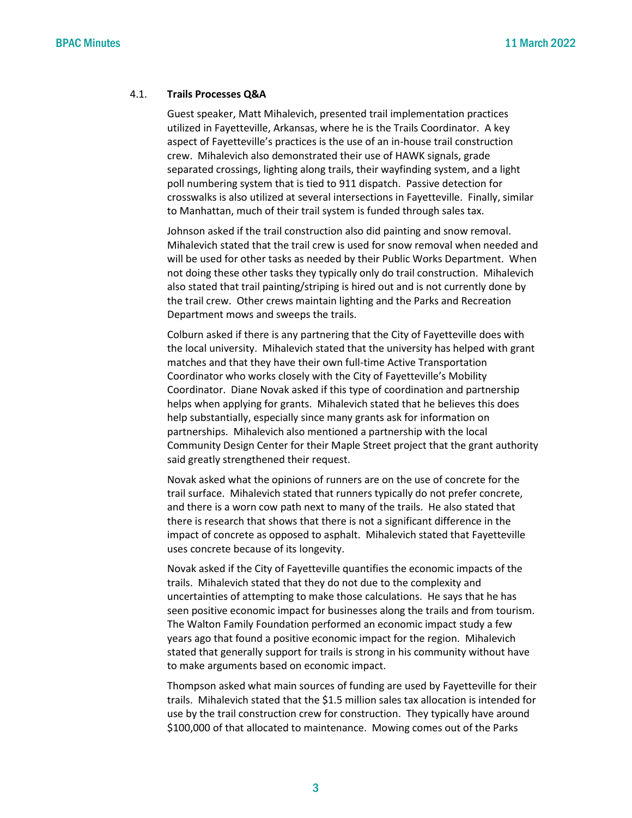#### 4.1. **Trails Processes Q&A**

Guest speaker, Matt Mihalevich, presented trail implementation practices utilized in Fayetteville, Arkansas, where he is the Trails Coordinator. A key aspect of Fayetteville's practices is the use of an in-house trail construction crew. Mihalevich also demonstrated their use of HAWK signals, grade separated crossings, lighting along trails, their wayfinding system, and a light poll numbering system that is tied to 911 dispatch. Passive detection for crosswalks is also utilized at several intersections in Fayetteville. Finally, similar to Manhattan, much of their trail system is funded through sales tax.

Johnson asked if the trail construction also did painting and snow removal. Mihalevich stated that the trail crew is used for snow removal when needed and will be used for other tasks as needed by their Public Works Department. When not doing these other tasks they typically only do trail construction. Mihalevich also stated that trail painting/striping is hired out and is not currently done by the trail crew. Other crews maintain lighting and the Parks and Recreation Department mows and sweeps the trails.

Colburn asked if there is any partnering that the City of Fayetteville does with the local university. Mihalevich stated that the university has helped with grant matches and that they have their own full-time Active Transportation Coordinator who works closely with the City of Fayetteville's Mobility Coordinator. Diane Novak asked if this type of coordination and partnership helps when applying for grants. Mihalevich stated that he believes this does help substantially, especially since many grants ask for information on partnerships. Mihalevich also mentioned a partnership with the local Community Design Center for their Maple Street project that the grant authority said greatly strengthened their request.

Novak asked what the opinions of runners are on the use of concrete for the trail surface. Mihalevich stated that runners typically do not prefer concrete, and there is a worn cow path next to many of the trails. He also stated that there is research that shows that there is not a significant difference in the impact of concrete as opposed to asphalt. Mihalevich stated that Fayetteville uses concrete because of its longevity.

Novak asked if the City of Fayetteville quantifies the economic impacts of the trails. Mihalevich stated that they do not due to the complexity and uncertainties of attempting to make those calculations. He says that he has seen positive economic impact for businesses along the trails and from tourism. The Walton Family Foundation performed an economic impact study a few years ago that found a positive economic impact for the region. Mihalevich stated that generally support for trails is strong in his community without have to make arguments based on economic impact.

Thompson asked what main sources of funding are used by Fayetteville for their trails. Mihalevich stated that the \$1.5 million sales tax allocation is intended for use by the trail construction crew for construction. They typically have around \$100,000 of that allocated to maintenance. Mowing comes out of the Parks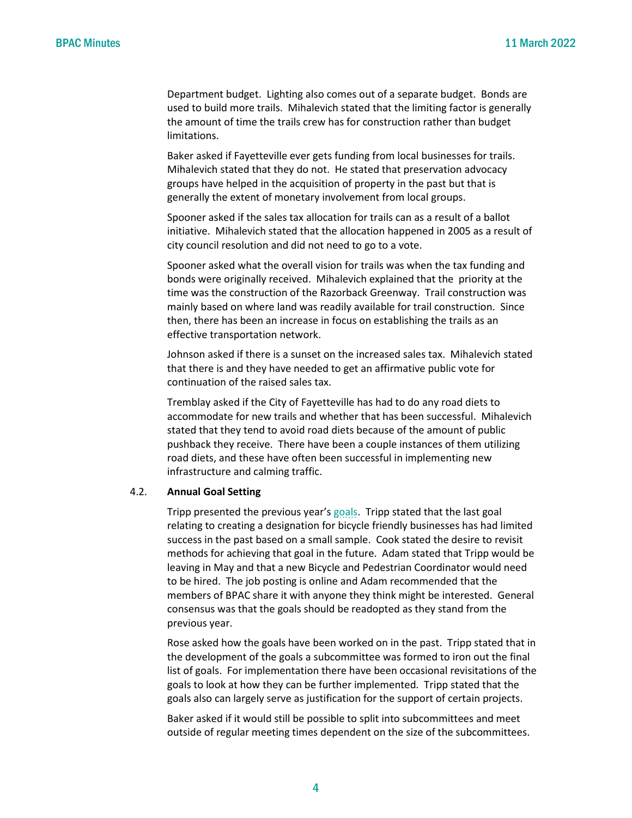Department budget. Lighting also comes out of a separate budget. Bonds are used to build more trails. Mihalevich stated that the limiting factor is generally the amount of time the trails crew has for construction rather than budget limitations.

Baker asked if Fayetteville ever gets funding from local businesses for trails. Mihalevich stated that they do not. He stated that preservation advocacy groups have helped in the acquisition of property in the past but that is generally the extent of monetary involvement from local groups.

Spooner asked if the sales tax allocation for trails can as a result of a ballot initiative. Mihalevich stated that the allocation happened in 2005 as a result of city council resolution and did not need to go to a vote.

Spooner asked what the overall vision for trails was when the tax funding and bonds were originally received. Mihalevich explained that the priority at the time was the construction of the Razorback Greenway. Trail construction was mainly based on where land was readily available for trail construction. Since then, there has been an increase in focus on establishing the trails as an effective transportation network.

Johnson asked if there is a sunset on the increased sales tax. Mihalevich stated that there is and they have needed to get an affirmative public vote for continuation of the raised sales tax.

Tremblay asked if the City of Fayetteville has had to do any road diets to accommodate for new trails and whether that has been successful. Mihalevich stated that they tend to avoid road diets because of the amount of public pushback they receive. There have been a couple instances of them utilizing road diets, and these have often been successful in implementing new infrastructure and calming traffic.

#### 4.2. **Annual Goal Setting**

Tripp presented the previous year's [goals.](https://cityofmhk.com/DocumentCenter/View/60046/43__BPAC-2020-Goals_-adopted) Tripp stated that the last goal relating to creating a designation for bicycle friendly businesses has had limited success in the past based on a small sample. Cook stated the desire to revisit methods for achieving that goal in the future. Adam stated that Tripp would be leaving in May and that a new Bicycle and Pedestrian Coordinator would need to be hired. The job posting is online and Adam recommended that the members of BPAC share it with anyone they think might be interested. General consensus was that the goals should be readopted as they stand from the previous year.

Rose asked how the goals have been worked on in the past. Tripp stated that in the development of the goals a subcommittee was formed to iron out the final list of goals. For implementation there have been occasional revisitations of the goals to look at how they can be further implemented. Tripp stated that the goals also can largely serve as justification for the support of certain projects.

Baker asked if it would still be possible to split into subcommittees and meet outside of regular meeting times dependent on the size of the subcommittees.